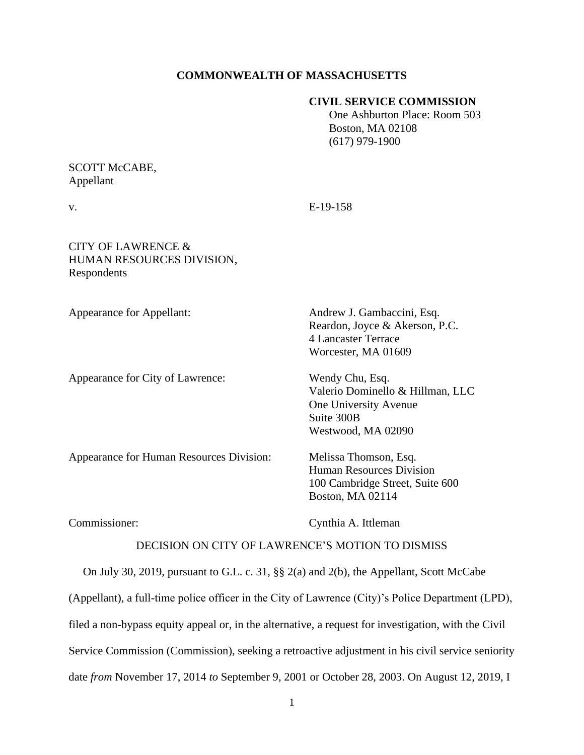#### **COMMONWEALTH OF MASSACHUSETTS**

#### **CIVIL SERVICE COMMISSION**

 One Ashburton Place: Room 503 Boston, MA 02108 (617) 979-1900

## SCOTT McCABE, Appellant

v. E-19-158

# CITY OF LAWRENCE & HUMAN RESOURCES DIVISION, Respondents

Appearance for City of Lawrence: Wendy Chu, Esq.

Appearance for Appellant: Andrew J. Gambaccini, Esq. Reardon, Joyce & Akerson, P.C. 4 Lancaster Terrace Worcester, MA 01609

> Valerio Dominello & Hillman, LLC One University Avenue Suite 300B Westwood, MA 02090

Appearance for Human Resources Division: Melissa Thomson, Esq.

Human Resources Division 100 Cambridge Street, Suite 600 Boston, MA 02114

Commissioner: Cynthia A. Ittleman

## DECISION ON CITY OF LAWRENCE'S MOTION TO DISMISS

On July 30, 2019, pursuant to G.L. c. 31, §§ 2(a) and 2(b), the Appellant, Scott McCabe

(Appellant), a full-time police officer in the City of Lawrence (City)'s Police Department (LPD),

filed a non-bypass equity appeal or, in the alternative, a request for investigation, with the Civil

Service Commission (Commission), seeking a retroactive adjustment in his civil service seniority

date *from* November 17, 2014 *to* September 9, 2001 or October 28, 2003. On August 12, 2019, I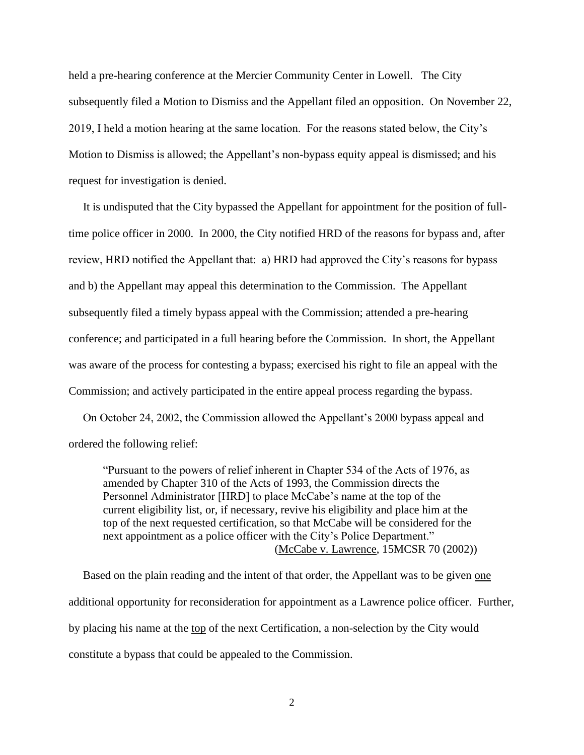held a pre-hearing conference at the Mercier Community Center in Lowell. The City subsequently filed a Motion to Dismiss and the Appellant filed an opposition. On November 22, 2019, I held a motion hearing at the same location. For the reasons stated below, the City's Motion to Dismiss is allowed; the Appellant's non-bypass equity appeal is dismissed; and his request for investigation is denied.

 It is undisputed that the City bypassed the Appellant for appointment for the position of fulltime police officer in 2000. In 2000, the City notified HRD of the reasons for bypass and, after review, HRD notified the Appellant that: a) HRD had approved the City's reasons for bypass and b) the Appellant may appeal this determination to the Commission. The Appellant subsequently filed a timely bypass appeal with the Commission; attended a pre-hearing conference; and participated in a full hearing before the Commission. In short, the Appellant was aware of the process for contesting a bypass; exercised his right to file an appeal with the Commission; and actively participated in the entire appeal process regarding the bypass.

 On October 24, 2002, the Commission allowed the Appellant's 2000 bypass appeal and ordered the following relief:

"Pursuant to the powers of relief inherent in Chapter 534 of the Acts of 1976, as amended by Chapter 310 of the Acts of 1993, the Commission directs the Personnel Administrator [HRD] to place McCabe's name at the top of the current eligibility list, or, if necessary, revive his eligibility and place him at the top of the next requested certification, so that McCabe will be considered for the next appointment as a police officer with the City's Police Department." (McCabe v. Lawrence, 15MCSR 70 (2002))

 Based on the plain reading and the intent of that order, the Appellant was to be given one additional opportunity for reconsideration for appointment as a Lawrence police officer. Further, by placing his name at the top of the next Certification, a non-selection by the City would constitute a bypass that could be appealed to the Commission.

2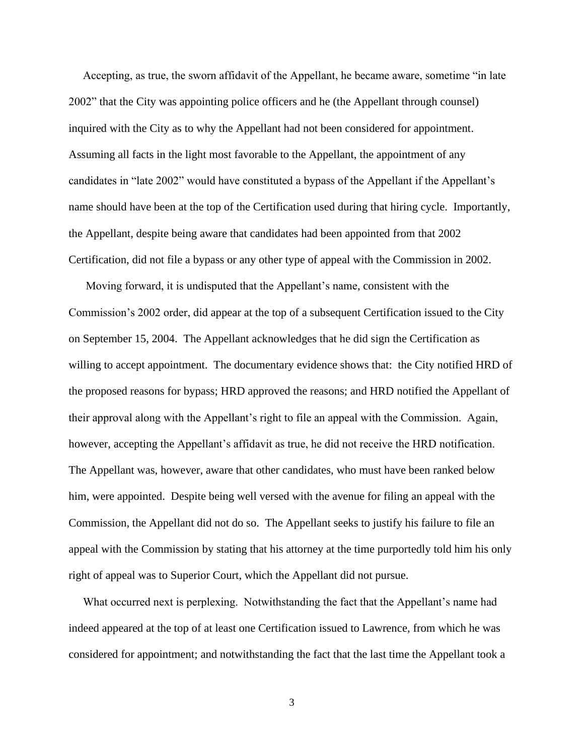Accepting, as true, the sworn affidavit of the Appellant, he became aware, sometime "in late 2002" that the City was appointing police officers and he (the Appellant through counsel) inquired with the City as to why the Appellant had not been considered for appointment. Assuming all facts in the light most favorable to the Appellant, the appointment of any candidates in "late 2002" would have constituted a bypass of the Appellant if the Appellant's name should have been at the top of the Certification used during that hiring cycle. Importantly, the Appellant, despite being aware that candidates had been appointed from that 2002 Certification, did not file a bypass or any other type of appeal with the Commission in 2002.

 Moving forward, it is undisputed that the Appellant's name, consistent with the Commission's 2002 order, did appear at the top of a subsequent Certification issued to the City on September 15, 2004. The Appellant acknowledges that he did sign the Certification as willing to accept appointment. The documentary evidence shows that: the City notified HRD of the proposed reasons for bypass; HRD approved the reasons; and HRD notified the Appellant of their approval along with the Appellant's right to file an appeal with the Commission. Again, however, accepting the Appellant's affidavit as true, he did not receive the HRD notification. The Appellant was, however, aware that other candidates, who must have been ranked below him, were appointed. Despite being well versed with the avenue for filing an appeal with the Commission, the Appellant did not do so. The Appellant seeks to justify his failure to file an appeal with the Commission by stating that his attorney at the time purportedly told him his only right of appeal was to Superior Court, which the Appellant did not pursue.

 What occurred next is perplexing. Notwithstanding the fact that the Appellant's name had indeed appeared at the top of at least one Certification issued to Lawrence, from which he was considered for appointment; and notwithstanding the fact that the last time the Appellant took a

3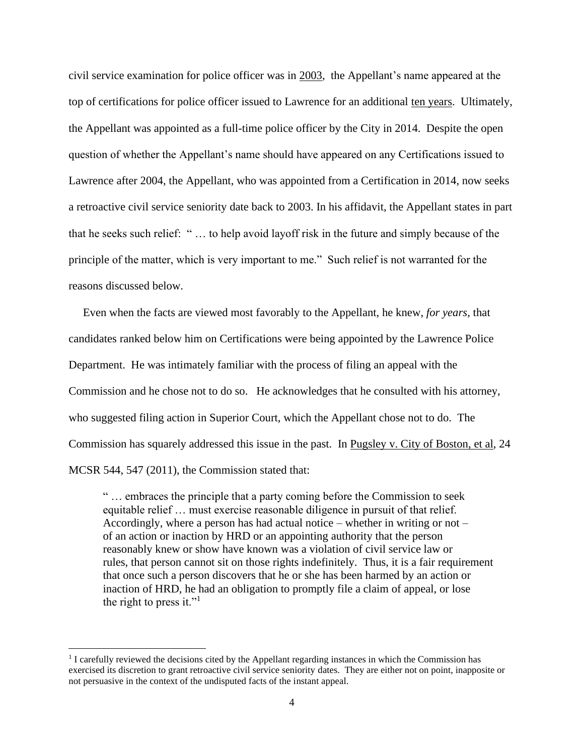civil service examination for police officer was in 2003, the Appellant's name appeared at the top of certifications for police officer issued to Lawrence for an additional ten years. Ultimately, the Appellant was appointed as a full-time police officer by the City in 2014. Despite the open question of whether the Appellant's name should have appeared on any Certifications issued to Lawrence after 2004, the Appellant, who was appointed from a Certification in 2014, now seeks a retroactive civil service seniority date back to 2003. In his affidavit, the Appellant states in part that he seeks such relief: " … to help avoid layoff risk in the future and simply because of the principle of the matter, which is very important to me." Such relief is not warranted for the reasons discussed below.

 Even when the facts are viewed most favorably to the Appellant, he knew, *for years*, that candidates ranked below him on Certifications were being appointed by the Lawrence Police Department. He was intimately familiar with the process of filing an appeal with the Commission and he chose not to do so. He acknowledges that he consulted with his attorney, who suggested filing action in Superior Court, which the Appellant chose not to do. The Commission has squarely addressed this issue in the past. In Pugsley v. City of Boston, et al, 24 MCSR 544, 547 (2011), the Commission stated that:

" … embraces the principle that a party coming before the Commission to seek equitable relief … must exercise reasonable diligence in pursuit of that relief. Accordingly, where a person has had actual notice – whether in writing or not – of an action or inaction by HRD or an appointing authority that the person reasonably knew or show have known was a violation of civil service law or rules, that person cannot sit on those rights indefinitely. Thus, it is a fair requirement that once such a person discovers that he or she has been harmed by an action or inaction of HRD, he had an obligation to promptly file a claim of appeal, or lose the right to press it." $\cdot$ <sup>1</sup>

<sup>&</sup>lt;sup>1</sup> I carefully reviewed the decisions cited by the Appellant regarding instances in which the Commission has exercised its discretion to grant retroactive civil service seniority dates. They are either not on point, inapposite or not persuasive in the context of the undisputed facts of the instant appeal.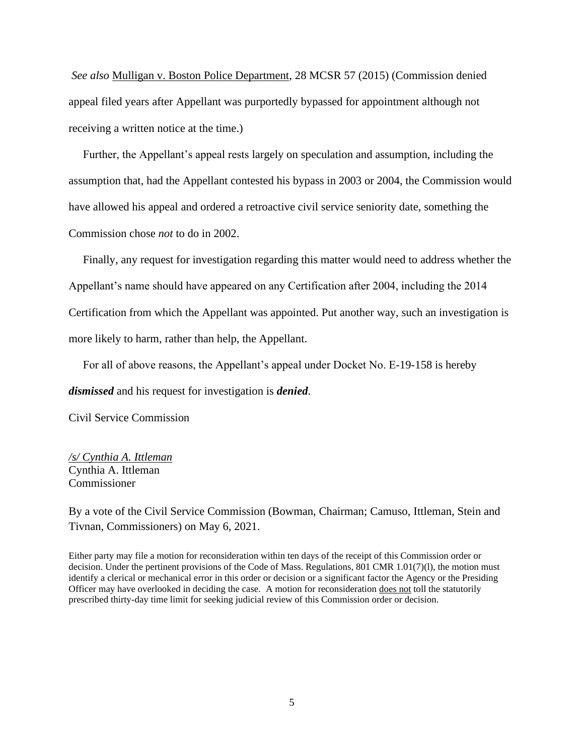*See also* Mulligan v. Boston Police Department, 28 MCSR 57 (2015) (Commission denied appeal filed years after Appellant was purportedly bypassed for appointment although not receiving a written notice at the time.)

 Further, the Appellant's appeal rests largely on speculation and assumption, including the assumption that, had the Appellant contested his bypass in 2003 or 2004, the Commission would have allowed his appeal and ordered a retroactive civil service seniority date, something the Commission chose *not* to do in 2002.

 Finally, any request for investigation regarding this matter would need to address whether the Appellant's name should have appeared on any Certification after 2004, including the 2014 Certification from which the Appellant was appointed. Put another way, such an investigation is more likely to harm, rather than help, the Appellant.

For all of above reasons, the Appellant's appeal under Docket No. E-19-158 is hereby

*dismissed* and his request for investigation is *denied*.

Civil Service Commission

*/s/ Cynthia A. Ittleman* Cynthia A. Ittleman Commissioner

By a vote of the Civil Service Commission (Bowman, Chairman; Camuso, Ittleman, Stein and Tivnan, Commissioners) on May 6, 2021.

Either party may file a motion for reconsideration within ten days of the receipt of this Commission order or decision. Under the pertinent provisions of the Code of Mass. Regulations, 801 CMR 1.01(7)(l), the motion must identify a clerical or mechanical error in this order or decision or a significant factor the Agency or the Presiding Officer may have overlooked in deciding the case. A motion for reconsideration does not toll the statutorily prescribed thirty-day time limit for seeking judicial review of this Commission order or decision.